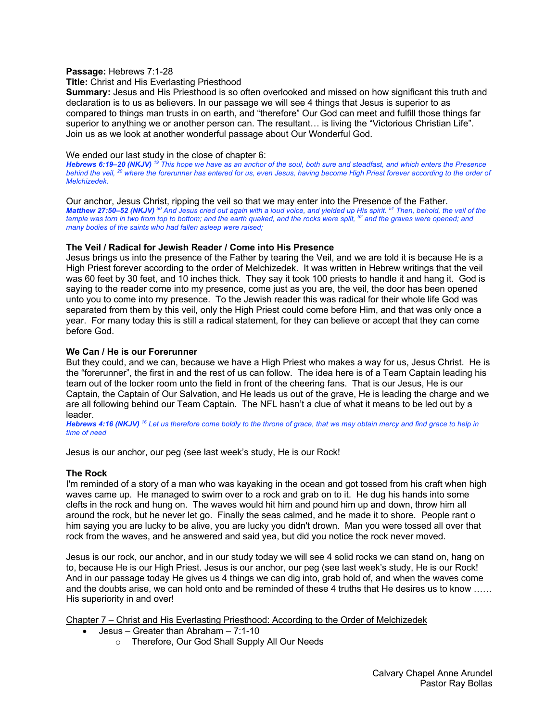### **Passage:** Hebrews 7:1-28

### **Title:** Christ and His Everlasting Priesthood

**Summary:** Jesus and His Priesthood is so often overlooked and missed on how significant this truth and declaration is to us as believers. In our passage we will see 4 things that Jesus is superior to as compared to things man trusts in on earth, and "therefore" Our God can meet and fulfill those things far superior to anything we or another person can. The resultant… is living the "Victorious Christian Life". Join us as we look at another wonderful passage about Our Wonderful God.

### We ended our last study in the close of chapter 6:

*Hebrews 6:19–20 (NKJV) <sup>19</sup> This hope we have as an anchor of the soul, both sure and steadfast, and which enters the Presence behind the veil, 20 where the forerunner has entered for us, even Jesus, having become High Priest forever according to the order of Melchizedek.* 

Our anchor, Jesus Christ, ripping the veil so that we may enter into the Presence of the Father. *Matthew 27:50–52 (NKJV) <sup>50</sup> And Jesus cried out again with a loud voice, and yielded up His spirit. 51 Then, behold, the veil of the temple was torn in two from top to bottom; and the earth quaked, and the rocks were split, 52 and the graves were opened; and many bodies of the saints who had fallen asleep were raised;* 

# **The Veil / Radical for Jewish Reader / Come into His Presence**

Jesus brings us into the presence of the Father by tearing the Veil, and we are told it is because He is a High Priest forever according to the order of Melchizedek. It was written in Hebrew writings that the veil was 60 feet by 30 feet, and 10 inches thick. They say it took 100 priests to handle it and hang it. God is saying to the reader come into my presence, come just as you are, the veil, the door has been opened unto you to come into my presence. To the Jewish reader this was radical for their whole life God was separated from them by this veil, only the High Priest could come before Him, and that was only once a year. For many today this is still a radical statement, for they can believe or accept that they can come before God.

# **We Can / He is our Forerunner**

But they could, and we can, because we have a High Priest who makes a way for us, Jesus Christ. He is the "forerunner", the first in and the rest of us can follow. The idea here is of a Team Captain leading his team out of the locker room unto the field in front of the cheering fans. That is our Jesus, He is our Captain, the Captain of Our Salvation, and He leads us out of the grave, He is leading the charge and we are all following behind our Team Captain. The NFL hasn't a clue of what it means to be led out by a leader.

*Hebrews 4:16 (NKJV) <sup>16</sup> Let us therefore come boldly to the throne of grace, that we may obtain mercy and find grace to help in time of need*

Jesus is our anchor, our peg (see last week's study, He is our Rock!

# **The Rock**

I'm reminded of a story of a man who was kayaking in the ocean and got tossed from his craft when high waves came up. He managed to swim over to a rock and grab on to it. He dug his hands into some clefts in the rock and hung on. The waves would hit him and pound him up and down, throw him all around the rock, but he never let go. Finally the seas calmed, and he made it to shore. People rant o him saying you are lucky to be alive, you are lucky you didn't drown. Man you were tossed all over that rock from the waves, and he answered and said yea, but did you notice the rock never moved.

Jesus is our rock, our anchor, and in our study today we will see 4 solid rocks we can stand on, hang on to, because He is our High Priest. Jesus is our anchor, our peg (see last week's study, He is our Rock! And in our passage today He gives us 4 things we can dig into, grab hold of, and when the waves come and the doubts arise, we can hold onto and be reminded of these 4 truths that He desires us to know …… His superiority in and over!

Chapter 7 – Christ and His Everlasting Priesthood: According to the Order of Melchizedek

- Jesus Greater than Abraham 7:1-10
	- o Therefore, Our God Shall Supply All Our Needs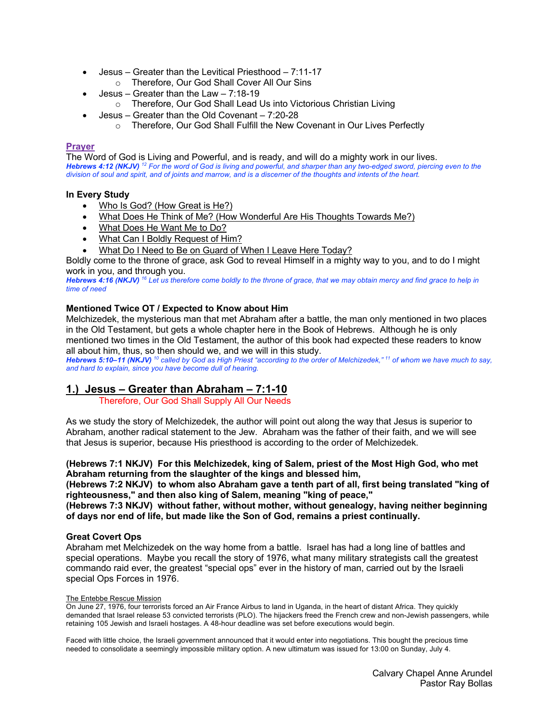- Jesus Greater than the Levitical Priesthood 7:11-17
	- o Therefore, Our God Shall Cover All Our Sins
- Jesus Greater than the Law 7:18-19
	- o Therefore, Our God Shall Lead Us into Victorious Christian Living
	- Jesus Greater than the Old Covenant 7:20-28
		- o Therefore, Our God Shall Fulfill the New Covenant in Our Lives Perfectly

### **Prayer**

The Word of God is Living and Powerful, and is ready, and will do a mighty work in our lives. *Hebrews 4:12 (NKJV) <sup>12</sup> For the word of God is living and powerful, and sharper than any two-edged sword, piercing even to the division of soul and spirit, and of joints and marrow, and is a discerner of the thoughts and intents of the heart.* 

# **In Every Study**

- Who Is God? (How Great is He?)
- What Does He Think of Me? (How Wonderful Are His Thoughts Towards Me?)
- What Does He Want Me to Do?
- What Can I Boldly Request of Him?
- What Do I Need to Be on Guard of When I Leave Here Today?

Boldly come to the throne of grace, ask God to reveal Himself in a mighty way to you, and to do I might work in you, and through you.

*Hebrews 4:16 (NKJV) <sup>16</sup> Let us therefore come boldly to the throne of grace, that we may obtain mercy and find grace to help in time of need*

# **Mentioned Twice OT / Expected to Know about Him**

Melchizedek, the mysterious man that met Abraham after a battle, the man only mentioned in two places in the Old Testament, but gets a whole chapter here in the Book of Hebrews. Although he is only mentioned two times in the Old Testament, the author of this book had expected these readers to know all about him, thus, so then should we, and we will in this study.

*Hebrews 5:10–11 (NKJV) <sup>10</sup> called by God as High Priest "according to the order of Melchizedek," 11 of whom we have much to say, and hard to explain, since you have become dull of hearing.* 

# **1.) Jesus – Greater than Abraham – 7:1-10**

Therefore, Our God Shall Supply All Our Needs

As we study the story of Melchizedek, the author will point out along the way that Jesus is superior to Abraham, another radical statement to the Jew. Abraham was the father of their faith, and we will see that Jesus is superior, because His priesthood is according to the order of Melchizedek.

# **(Hebrews 7:1 NKJV) For this Melchizedek, king of Salem, priest of the Most High God, who met Abraham returning from the slaughter of the kings and blessed him,**

**(Hebrews 7:2 NKJV) to whom also Abraham gave a tenth part of all, first being translated "king of righteousness," and then also king of Salem, meaning "king of peace,"**

**(Hebrews 7:3 NKJV) without father, without mother, without genealogy, having neither beginning of days nor end of life, but made like the Son of God, remains a priest continually.**

# **Great Covert Ops**

Abraham met Melchizedek on the way home from a battle. Israel has had a long line of battles and special operations. Maybe you recall the story of 1976, what many military strategists call the greatest commando raid ever, the greatest "special ops" ever in the history of man, carried out by the Israeli special Ops Forces in 1976.

#### The Entebbe Rescue Mission

On June 27, 1976, four terrorists forced an Air France Airbus to land in Uganda, in the heart of distant Africa. They quickly demanded that Israel release 53 convicted terrorists (PLO). The hijackers freed the French crew and non-Jewish passengers, while retaining 105 Jewish and Israeli hostages. A 48-hour deadline was set before executions would begin.

Faced with little choice, the Israeli government announced that it would enter into negotiations. This bought the precious time needed to consolidate a seemingly impossible military option. A new ultimatum was issued for 13:00 on Sunday, July 4.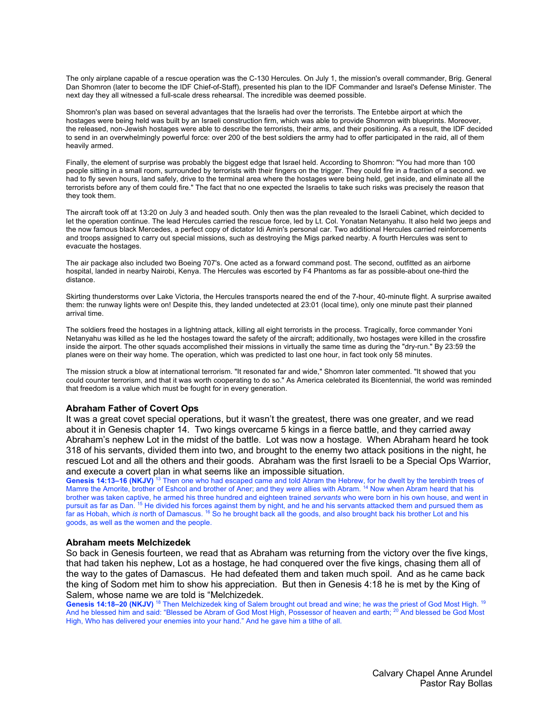The only airplane capable of a rescue operation was the C-130 Hercules. On July 1, the mission's overall commander, Brig. General Dan Shomron (later to become the IDF Chief-of-Staff), presented his plan to the IDF Commander and Israel's Defense Minister. The next day they all witnessed a full-scale dress rehearsal. The incredible was deemed possible.

Shomron's plan was based on several advantages that the Israelis had over the terrorists. The Entebbe airport at which the hostages were being held was built by an Israeli construction firm, which was able to provide Shomron with blueprints. Moreover, the released, non-Jewish hostages were able to describe the terrorists, their arms, and their positioning. As a result, the IDF decided to send in an overwhelmingly powerful force: over 200 of the best soldiers the army had to offer participated in the raid, all of them heavily armed.

Finally, the element of surprise was probably the biggest edge that Israel held. According to Shomron: "You had more than 100 people sitting in a small room, surrounded by terrorists with their fingers on the trigger. They could fire in a fraction of a second. we had to fly seven hours, land safely, drive to the terminal area where the hostages were being held, get inside, and eliminate all the terrorists before any of them could fire." The fact that no one expected the Israelis to take such risks was precisely the reason that they took them.

The aircraft took off at 13:20 on July 3 and headed south. Only then was the plan revealed to the Israeli Cabinet, which decided to let the operation continue. The lead Hercules carried the rescue force, led by Lt. Col. Yonatan Netanyahu. It also held two jeeps and the now famous black Mercedes, a perfect copy of dictator Idi Amin's personal car. Two additional Hercules carried reinforcements and troops assigned to carry out special missions, such as destroying the Migs parked nearby. A fourth Hercules was sent to evacuate the hostages.

The air package also included two Boeing 707's. One acted as a forward command post. The second, outfitted as an airborne hospital, landed in nearby Nairobi, Kenya. The Hercules was escorted by F4 Phantoms as far as possible-about one-third the distance.

Skirting thunderstorms over Lake Victoria, the Hercules transports neared the end of the 7-hour, 40-minute flight. A surprise awaited them: the runway lights were on! Despite this, they landed undetected at 23:01 (local time), only one minute past their planned arrival time.

The soldiers freed the hostages in a lightning attack, killing all eight terrorists in the process. Tragically, force commander Yoni Netanyahu was killed as he led the hostages toward the safety of the aircraft; additionally, two hostages were killed in the crossfire inside the airport. The other squads accomplished their missions in virtually the same time as during the "dry-run." By 23:59 the planes were on their way home. The operation, which was predicted to last one hour, in fact took only 58 minutes.

The mission struck a blow at international terrorism. "It resonated far and wide," Shomron later commented. "It showed that you could counter terrorism, and that it was worth cooperating to do so." As America celebrated its Bicentennial, the world was reminded that freedom is a value which must be fought for in every generation.

#### **Abraham Father of Covert Ops**

It was a great covet special operations, but it wasn't the greatest, there was one greater, and we read about it in Genesis chapter 14. Two kings overcame 5 kings in a fierce battle, and they carried away Abraham's nephew Lot in the midst of the battle. Lot was now a hostage. When Abraham heard he took 318 of his servants, divided them into two, and brought to the enemy two attack positions in the night, he rescued Lot and all the others and their goods. Abraham was the first Israeli to be a Special Ops Warrior, and execute a covert plan in what seems like an impossible situation.

Genesis 14:13–16 (NKJV)<sup>13</sup> Then one who had escaped came and told Abram the Hebrew, for he dwelt by the terebinth trees of Mamre the Amorite, brother of Eshcol and brother of Aner; and they *were* allies with Abram. 14 Now when Abram heard that his brother was taken captive, he armed his three hundred and eighteen trained *servants* who were born in his own house, and went in pursuit as far as Dan. <sup>15</sup> He divided his forces against them by night, and he and his servants attacked them and pursued them as far as Hobah, which *is* north of Damascus. 16 So he brought back all the goods, and also brought back his brother Lot and his goods, as well as the women and the people.

#### **Abraham meets Melchizedek**

So back in Genesis fourteen, we read that as Abraham was returning from the victory over the five kings, that had taken his nephew, Lot as a hostage, he had conquered over the five kings, chasing them all of the way to the gates of Damascus. He had defeated them and taken much spoil. And as he came back the king of Sodom met him to show his appreciation. But then in Genesis 4:18 he is met by the King of Salem, whose name we are told is "Melchizedek.

**Genesis 14:18–20 (NKJV)** <sup>18</sup> Then Melchizedek king of Salem brought out bread and wine; he *was* the priest of God Most High. 19 And he blessed him and said: "Blessed be Abram of God Most High, Possessor of heaven and earth; 20 And blessed be God Most High, Who has delivered your enemies into your hand." And he gave him a tithe of all.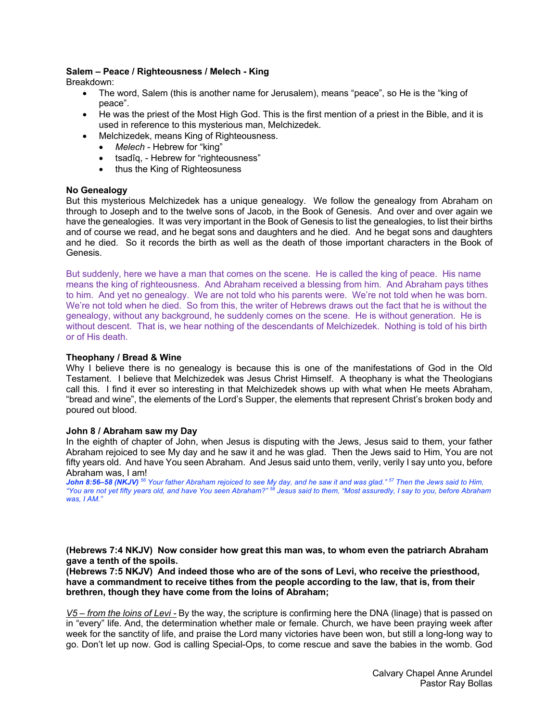# **Salem – Peace / Righteousness / Melech - King**

Breakdown:

- The word, Salem (this is another name for Jerusalem), means "peace", so He is the "king of peace".
- He was the priest of the Most High God. This is the first mention of a priest in the Bible, and it is used in reference to this mysterious man, Melchizedek.
- Melchizedek, means King of Righteousness.
	- *Melech* Hebrew for "king"
	- tsadîq, Hebrew for "righteousness"
	- thus the King of Righteosuness

# **No Genealogy**

But this mysterious Melchizedek has a unique genealogy. We follow the genealogy from Abraham on through to Joseph and to the twelve sons of Jacob, in the Book of Genesis. And over and over again we have the genealogies. It was very important in the Book of Genesis to list the genealogies, to list their births and of course we read, and he begat sons and daughters and he died. And he begat sons and daughters and he died. So it records the birth as well as the death of those important characters in the Book of Genesis.

But suddenly, here we have a man that comes on the scene. He is called the king of peace. His name means the king of righteousness. And Abraham received a blessing from him. And Abraham pays tithes to him. And yet no genealogy. We are not told who his parents were. We're not told when he was born. We're not told when he died. So from this, the writer of Hebrews draws out the fact that he is without the genealogy, without any background, he suddenly comes on the scene. He is without generation. He is without descent. That is, we hear nothing of the descendants of Melchizedek. Nothing is told of his birth or of His death.

# **Theophany / Bread & Wine**

Why I believe there is no genealogy is because this is one of the manifestations of God in the Old Testament. I believe that Melchizedek was Jesus Christ Himself. A theophany is what the Theologians call this. I find it ever so interesting in that Melchizedek shows up with what when He meets Abraham, "bread and wine", the elements of the Lord's Supper, the elements that represent Christ's broken body and poured out blood.

# **John 8 / Abraham saw my Day**

In the eighth of chapter of John, when Jesus is disputing with the Jews, Jesus said to them, your father Abraham rejoiced to see My day and he saw it and he was glad. Then the Jews said to Him, You are not fifty years old. And have You seen Abraham. And Jesus said unto them, verily, verily I say unto you, before Abraham was, I am!

*John 8:56–58 (NKJV) <sup>56</sup> Your father Abraham rejoiced to see My day, and he saw it and was glad." 57 Then the Jews said to Him, "You are not yet fifty years old, and have You seen Abraham?" 58 Jesus said to them, "Most assuredly, I say to you, before Abraham was, I AM."* 

**(Hebrews 7:4 NKJV) Now consider how great this man was, to whom even the patriarch Abraham gave a tenth of the spoils.**

**(Hebrews 7:5 NKJV) And indeed those who are of the sons of Levi, who receive the priesthood, have a commandment to receive tithes from the people according to the law, that is, from their brethren, though they have come from the loins of Abraham;**

*V5 – from the loins of Levi -* By the way, the scripture is confirming here the DNA (linage) that is passed on in "every" life. And, the determination whether male or female. Church, we have been praying week after week for the sanctity of life, and praise the Lord many victories have been won, but still a long-long way to go. Don't let up now. God is calling Special-Ops, to come rescue and save the babies in the womb. God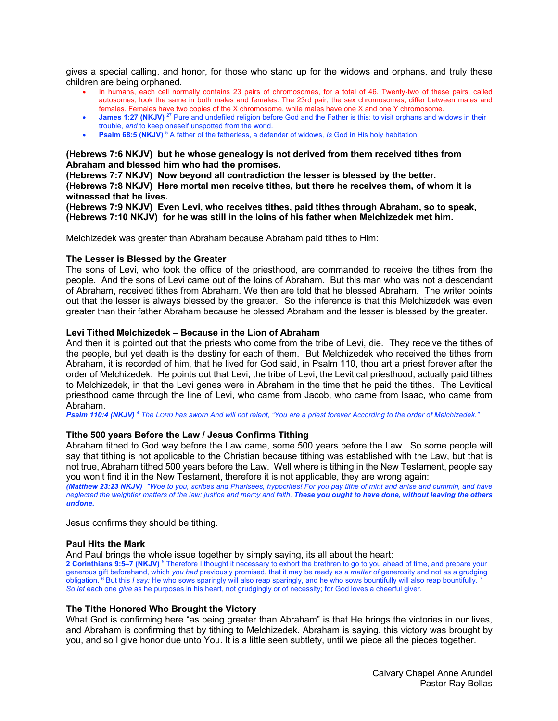gives a special calling, and honor, for those who stand up for the widows and orphans, and truly these children are being orphaned.

- In humans, each cell normally contains 23 pairs of chromosomes, for a total of 46. Twenty-two of these pairs, called autosomes, look the same in both males and females. The 23rd pair, the sex chromosomes, differ between males and females. Females have two copies of the X chromosome, while males have one X and one Y chromosome.
- **James 1:27 (NKJV)** <sup>27</sup> Pure and undefiled religion before God and the Father is this: to visit orphans and widows in their trouble, *and* to keep oneself unspotted from the world.
- **Psalm 68:5 (NKJV)** <sup>5</sup> A father of the fatherless, a defender of widows, *Is* God in His holy habitation.

### **(Hebrews 7:6 NKJV) but he whose genealogy is not derived from them received tithes from Abraham and blessed him who had the promises.**

**(Hebrews 7:7 NKJV) Now beyond all contradiction the lesser is blessed by the better. (Hebrews 7:8 NKJV) Here mortal men receive tithes, but there he receives them, of whom it is witnessed that he lives.**

**(Hebrews 7:9 NKJV) Even Levi, who receives tithes, paid tithes through Abraham, so to speak, (Hebrews 7:10 NKJV) for he was still in the loins of his father when Melchizedek met him.**

Melchizedek was greater than Abraham because Abraham paid tithes to Him:

#### **The Lesser is Blessed by the Greater**

The sons of Levi, who took the office of the priesthood, are commanded to receive the tithes from the people. And the sons of Levi came out of the loins of Abraham. But this man who was not a descendant of Abraham, received tithes from Abraham. We then are told that he blessed Abraham. The writer points out that the lesser is always blessed by the greater. So the inference is that this Melchizedek was even greater than their father Abraham because he blessed Abraham and the lesser is blessed by the greater.

### **Levi Tithed Melchizedek – Because in the Lion of Abraham**

And then it is pointed out that the priests who come from the tribe of Levi, die. They receive the tithes of the people, but yet death is the destiny for each of them. But Melchizedek who received the tithes from Abraham, it is recorded of him, that he lived for God said, in Psalm 110, thou art a priest forever after the order of Melchizedek. He points out that Levi, the tribe of Levi, the Levitical priesthood, actually paid tithes to Melchizedek, in that the Levi genes were in Abraham in the time that he paid the tithes. The Levitical priesthood came through the line of Levi, who came from Jacob, who came from Isaac, who came from Abraham.

*Psalm 110:4 (NKJV) <sup>4</sup> The LORD has sworn And will not relent, "You are a priest forever According to the order of Melchizedek."* 

#### **Tithe 500 years Before the Law / Jesus Confirms Tithing**

Abraham tithed to God way before the Law came, some 500 years before the Law. So some people will say that tithing is not applicable to the Christian because tithing was established with the Law, but that is not true, Abraham tithed 500 years before the Law. Well where is tithing in the New Testament, people say you won't find it in the New Testament, therefore it is not applicable, they are wrong again:

*(Matthew 23:23 NKJV) "Woe to you, scribes and Pharisees, hypocrites! For you pay tithe of mint and anise and cummin, and have neglected the weightier matters of the law: justice and mercy and faith. These you ought to have done, without leaving the others undone.*

Jesus confirms they should be tithing.

#### **Paul Hits the Mark**

And Paul brings the whole issue together by simply saying, its all about the heart:

**2 Corinthians 9:5–7 (NKJV)** <sup>5</sup> Therefore I thought it necessary to exhort the brethren to go to you ahead of time, and prepare your generous gift beforehand, which *you had* previously promised, that it may be ready as *a matter of* generosity and not as a grudging obligation. 6 But this *I say:* He who sows sparingly will also reap sparingly, and he who sows bountifully will also reap bountifully. 7 *So let* each one *give* as he purposes in his heart, not grudgingly or of necessity; for God loves a cheerful giver.

#### **The Tithe Honored Who Brought the Victory**

What God is confirming here "as being greater than Abraham" is that He brings the victories in our lives, and Abraham is confirming that by tithing to Melchizedek. Abraham is saying, this victory was brought by you, and so I give honor due unto You. It is a little seen subtlety, until we piece all the pieces together.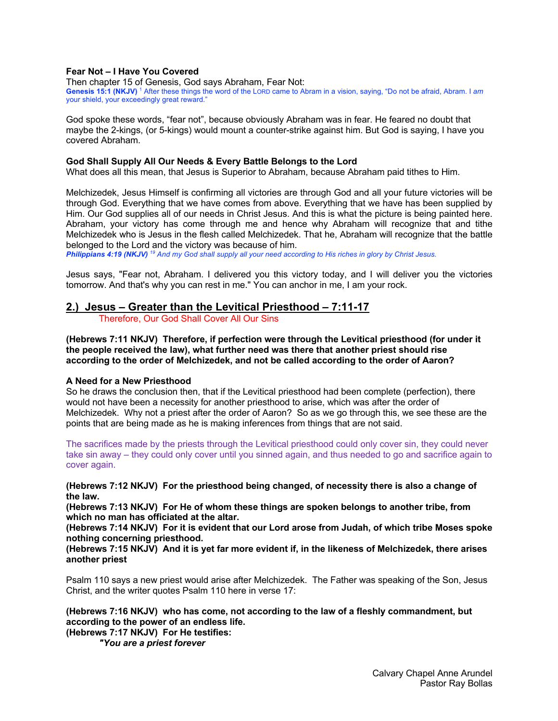# **Fear Not – I Have You Covered**

Then chapter 15 of Genesis, God says Abraham, Fear Not: **Genesis 15:1 (NKJV)** <sup>1</sup> After these things the word of the LORD came to Abram in a vision, saying, "Do not be afraid, Abram. I *am* your shield, your exceedingly great reward."

God spoke these words, "fear not", because obviously Abraham was in fear. He feared no doubt that maybe the 2-kings, (or 5-kings) would mount a counter-strike against him. But God is saying, I have you covered Abraham.

#### **God Shall Supply All Our Needs & Every Battle Belongs to the Lord**

What does all this mean, that Jesus is Superior to Abraham, because Abraham paid tithes to Him.

Melchizedek, Jesus Himself is confirming all victories are through God and all your future victories will be through God. Everything that we have comes from above. Everything that we have has been supplied by Him. Our God supplies all of our needs in Christ Jesus. And this is what the picture is being painted here. Abraham, your victory has come through me and hence why Abraham will recognize that and tithe Melchizedek who is Jesus in the flesh called Melchizedek. That he, Abraham will recognize that the battle belonged to the Lord and the victory was because of him.

*Philippians 4:19 (NKJV) <sup>19</sup> And my God shall supply all your need according to His riches in glory by Christ Jesus.* 

Jesus says, "Fear not, Abraham. I delivered you this victory today, and I will deliver you the victories tomorrow. And that's why you can rest in me." You can anchor in me, I am your rock.

# **2.) Jesus – Greater than the Levitical Priesthood – 7:11-17**

Therefore, Our God Shall Cover All Our Sins

**(Hebrews 7:11 NKJV) Therefore, if perfection were through the Levitical priesthood (for under it the people received the law), what further need was there that another priest should rise according to the order of Melchizedek, and not be called according to the order of Aaron?**

#### **A Need for a New Priesthood**

So he draws the conclusion then, that if the Levitical priesthood had been complete (perfection), there would not have been a necessity for another priesthood to arise, which was after the order of Melchizedek. Why not a priest after the order of Aaron? So as we go through this, we see these are the points that are being made as he is making inferences from things that are not said.

The sacrifices made by the priests through the Levitical priesthood could only cover sin, they could never take sin away – they could only cover until you sinned again, and thus needed to go and sacrifice again to cover again.

**(Hebrews 7:12 NKJV) For the priesthood being changed, of necessity there is also a change of the law.**

**(Hebrews 7:13 NKJV) For He of whom these things are spoken belongs to another tribe, from which no man has officiated at the altar.**

**(Hebrews 7:14 NKJV) For it is evident that our Lord arose from Judah, of which tribe Moses spoke nothing concerning priesthood.**

**(Hebrews 7:15 NKJV) And it is yet far more evident if, in the likeness of Melchizedek, there arises another priest**

Psalm 110 says a new priest would arise after Melchizedek. The Father was speaking of the Son, Jesus Christ, and the writer quotes Psalm 110 here in verse 17:

# **(Hebrews 7:16 NKJV) who has come, not according to the law of a fleshly commandment, but according to the power of an endless life.**

**(Hebrews 7:17 NKJV) For He testifies:**

*"You are a priest forever*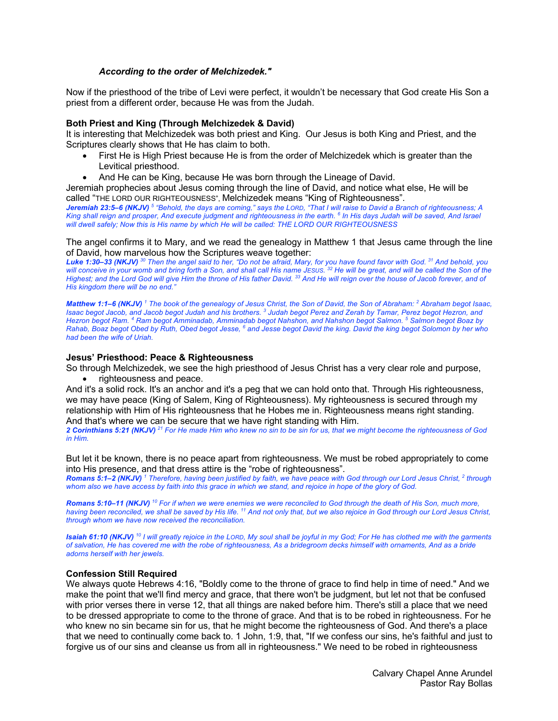# *According to the order of Melchizedek."*

Now if the priesthood of the tribe of Levi were perfect, it wouldn't be necessary that God create His Son a priest from a different order, because He was from the Judah.

#### **Both Priest and King (Through Melchizedek & David)**

It is interesting that Melchizedek was both priest and King. Our Jesus is both King and Priest, and the Scriptures clearly shows that He has claim to both.

- First He is High Priest because He is from the order of Melchizedek which is greater than the Levitical priesthood.
- And He can be King, because He was born through the Lineage of David.

Jeremiah prophecies about Jesus coming through the line of David, and notice what else, He will be called "THE LORD OUR RIGHTEOUSNESS", Melchizedek means "King of Righteousness".

*Jeremiah 23:5–6 (NKJV) <sup>5</sup> "Behold, the days are coming," says the LORD, "That I will raise to David a Branch of righteousness; A King shall reign and prosper, And execute judgment and righteousness in the earth. 6 In His days Judah will be saved, And Israel will dwell safely; Now this is His name by which He will be called: THE LORD OUR RIGHTEOUSNESS* 

#### The angel confirms it to Mary, and we read the genealogy in Matthew 1 that Jesus came through the line of David, how marvelous how the Scriptures weave together:

*Luke 1:30–33 (NKJV) <sup>30</sup> Then the angel said to her, "Do not be afraid, Mary, for you have found favor with God. 31 And behold, you will conceive in your womb and bring forth a Son, and shall call His name JESUS. 32 He will be great, and will be called the Son of the Highest; and the Lord God will give Him the throne of His father David. 33 And He will reign over the house of Jacob forever, and of His kingdom there will be no end."* 

*Matthew 1:1–6 (NKJV) <sup>1</sup> The book of the genealogy of Jesus Christ, the Son of David, the Son of Abraham: 2 Abraham begot Isaac, Isaac begot Jacob, and Jacob begot Judah and his brothers. 3 Judah begot Perez and Zerah by Tamar, Perez begot Hezron, and Hezron begot Ram. 4 Ram begot Amminadab, Amminadab begot Nahshon, and Nahshon begot Salmon. 5 Salmon begot Boaz by Rahab, Boaz begot Obed by Ruth, Obed begot Jesse, 6 and Jesse begot David the king. David the king begot Solomon by her who had been the wife of Uriah.* 

### **Jesus' Priesthood: Peace & Righteousness**

So through Melchizedek, we see the high priesthood of Jesus Christ has a very clear role and purpose,

• righteousness and peace.

And it's a solid rock. It's an anchor and it's a peg that we can hold onto that. Through His righteousness, we may have peace (King of Salem, King of Righteousness). My righteousness is secured through my relationship with Him of His righteousness that he Hobes me in. Righteousness means right standing. And that's where we can be secure that we have right standing with Him.

*2 Corinthians 5:21 (NKJV) <sup>21</sup> For He made Him who knew no sin to be sin for us, that we might become the righteousness of God in Him.* 

But let it be known, there is no peace apart from righteousness. We must be robed appropriately to come into His presence, and that dress attire is the "robe of righteousness".

*Romans 5:1–2 (NKJV) <sup>1</sup> Therefore, having been justified by faith, we have peace with God through our Lord Jesus Christ, 2 through whom also we have access by faith into this grace in which we stand, and rejoice in hope of the glory of God.* 

*Romans 5:10–11 (NKJV) <sup>10</sup> For if when we were enemies we were reconciled to God through the death of His Son, much more, having been reconciled, we shall be saved by His life. 11 And not only that, but we also rejoice in God through our Lord Jesus Christ, through whom we have now received the reconciliation.* 

*Isaiah 61:10 (NKJV) <sup>10</sup> I will greatly rejoice in the LORD, My soul shall be joyful in my God; For He has clothed me with the garments of salvation, He has covered me with the robe of righteousness, As a bridegroom decks himself with ornaments, And as a bride adorns herself with her jewels.* 

# **Confession Still Required**

We always quote Hebrews 4:16, "Boldly come to the throne of grace to find help in time of need." And we make the point that we'll find mercy and grace, that there won't be judgment, but let not that be confused with prior verses there in verse 12, that all things are naked before him. There's still a place that we need to be dressed appropriate to come to the throne of grace. And that is to be robed in righteousness. For he who knew no sin became sin for us, that he might become the righteousness of God. And there's a place that we need to continually come back to. 1 John, 1:9, that, "If we confess our sins, he's faithful and just to forgive us of our sins and cleanse us from all in righteousness." We need to be robed in righteousness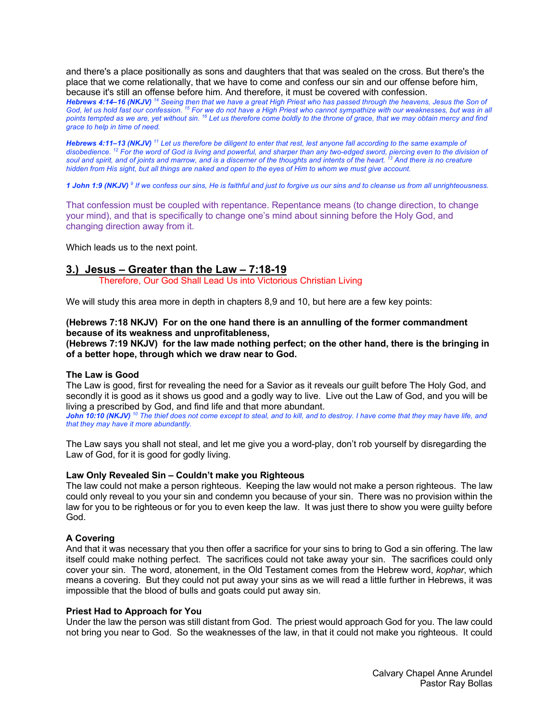and there's a place positionally as sons and daughters that that was sealed on the cross. But there's the place that we come relationally, that we have to come and confess our sin and our offense before him, because it's still an offense before him. And therefore, it must be covered with confession.

*Hebrews 4:14–16 (NKJV) <sup>14</sup> Seeing then that we have a great High Priest who has passed through the heavens, Jesus the Son of*  God, let us hold fast our confession. <sup>15</sup> For we do not have a High Priest who cannot sympathize with our weaknesses, but was in all *points tempted as we are, yet without sin. 16 Let us therefore come boldly to the throne of grace, that we may obtain mercy and find grace to help in time of need.* 

*Hebrews 4:11–13 (NKJV) <sup>11</sup> Let us therefore be diligent to enter that rest, lest anyone fall according to the same example of disobedience. 12 For the word of God is living and powerful, and sharper than any two-edged sword, piercing even to the division of soul and spirit, and of joints and marrow, and is a discerner of the thoughts and intents of the heart. 13 And there is no creature hidden from His sight, but all things are naked and open to the eyes of Him to whom we must give account.* 

*1 John 1:9 (NKJV) <sup>9</sup> If we confess our sins, He is faithful and just to forgive us our sins and to cleanse us from all unrighteousness.* 

That confession must be coupled with repentance. Repentance means (to change direction, to change your mind), and that is specifically to change one's mind about sinning before the Holy God, and changing direction away from it.

Which leads us to the next point.

# **3.) Jesus – Greater than the Law – 7:18-19**

Therefore, Our God Shall Lead Us into Victorious Christian Living

We will study this area more in depth in chapters 8,9 and 10, but here are a few key points:

# **(Hebrews 7:18 NKJV) For on the one hand there is an annulling of the former commandment because of its weakness and unprofitableness,**

**(Hebrews 7:19 NKJV) for the law made nothing perfect; on the other hand, there is the bringing in of a better hope, through which we draw near to God.**

# **The Law is Good**

The Law is good, first for revealing the need for a Savior as it reveals our guilt before The Holy God, and secondly it is good as it shows us good and a godly way to live. Live out the Law of God, and you will be living a prescribed by God, and find life and that more abundant.

*John 10:10 (NKJV) <sup>10</sup> The thief does not come except to steal, and to kill, and to destroy. I have come that they may have life, and that they may have it more abundantly.* 

The Law says you shall not steal, and let me give you a word-play, don't rob yourself by disregarding the Law of God, for it is good for godly living.

# **Law Only Revealed Sin – Couldn't make you Righteous**

The law could not make a person righteous. Keeping the law would not make a person righteous. The law could only reveal to you your sin and condemn you because of your sin. There was no provision within the law for you to be righteous or for you to even keep the law. It was just there to show you were guilty before God.

# **A Covering**

And that it was necessary that you then offer a sacrifice for your sins to bring to God a sin offering. The law itself could make nothing perfect. The sacrifices could not take away your sin. The sacrifices could only cover your sin. The word, atonement, in the Old Testament comes from the Hebrew word, *kophar*, which means a covering. But they could not put away your sins as we will read a little further in Hebrews, it was impossible that the blood of bulls and goats could put away sin.

# **Priest Had to Approach for You**

Under the law the person was still distant from God. The priest would approach God for you. The law could not bring you near to God. So the weaknesses of the law, in that it could not make you righteous. It could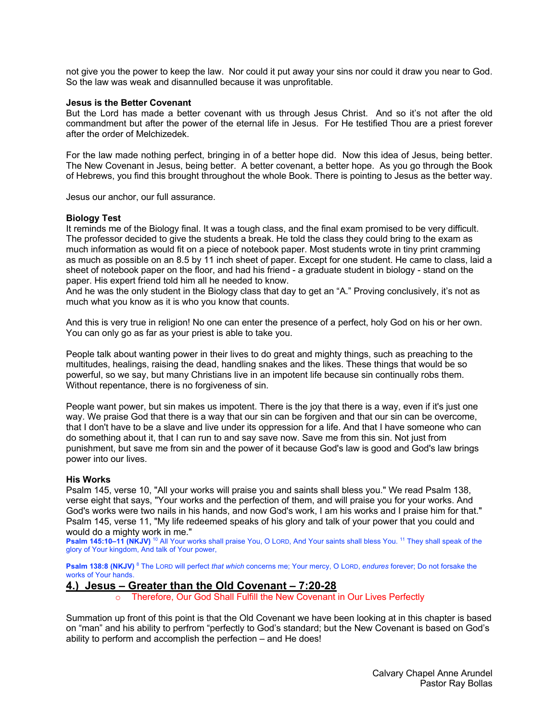not give you the power to keep the law. Nor could it put away your sins nor could it draw you near to God. So the law was weak and disannulled because it was unprofitable.

### **Jesus is the Better Covenant**

But the Lord has made a better covenant with us through Jesus Christ. And so it's not after the old commandment but after the power of the eternal life in Jesus. For He testified Thou are a priest forever after the order of Melchizedek.

For the law made nothing perfect, bringing in of a better hope did. Now this idea of Jesus, being better. The New Covenant in Jesus, being better. A better covenant, a better hope. As you go through the Book of Hebrews, you find this brought throughout the whole Book. There is pointing to Jesus as the better way.

Jesus our anchor, our full assurance.

### **Biology Test**

It reminds me of the Biology final. It was a tough class, and the final exam promised to be very difficult. The professor decided to give the students a break. He told the class they could bring to the exam as much information as would fit on a piece of notebook paper. Most students wrote in tiny print cramming as much as possible on an 8.5 by 11 inch sheet of paper. Except for one student. He came to class, laid a sheet of notebook paper on the floor, and had his friend - a graduate student in biology - stand on the paper. His expert friend told him all he needed to know.

And he was the only student in the Biology class that day to get an "A." Proving conclusively, it's not as much what you know as it is who you know that counts.

And this is very true in religion! No one can enter the presence of a perfect, holy God on his or her own. You can only go as far as your priest is able to take you.

People talk about wanting power in their lives to do great and mighty things, such as preaching to the multitudes, healings, raising the dead, handling snakes and the likes. These things that would be so powerful, so we say, but many Christians live in an impotent life because sin continually robs them. Without repentance, there is no forgiveness of sin.

People want power, but sin makes us impotent. There is the joy that there is a way, even if it's just one way. We praise God that there is a way that our sin can be forgiven and that our sin can be overcome, that I don't have to be a slave and live under its oppression for a life. And that I have someone who can do something about it, that I can run to and say save now. Save me from this sin. Not just from punishment, but save me from sin and the power of it because God's law is good and God's law brings power into our lives.

#### **His Works**

Psalm 145, verse 10, "All your works will praise you and saints shall bless you." We read Psalm 138, verse eight that says, "Your works and the perfection of them, and will praise you for your works. And God's works were two nails in his hands, and now God's work, I am his works and I praise him for that." Psalm 145, verse 11, "My life redeemed speaks of his glory and talk of your power that you could and would do a mighty work in me."

Psalm 145:10-11 (NKJV)<sup>10</sup> All Your works shall praise You, O LORD, And Your saints shall bless You. <sup>11</sup> They shall speak of the glory of Your kingdom, And talk of Your power,

**Psalm 138:8 (NKJV)** <sup>8</sup> The LORD will perfect *that which* concerns me; Your mercy, O LORD, *endures* forever; Do not forsake the works of Your hands.

# **4.) Jesus – Greater than the Old Covenant – 7:20-28**

o Therefore, Our God Shall Fulfill the New Covenant in Our Lives Perfectly

Summation up front of this point is that the Old Covenant we have been looking at in this chapter is based on "man" and his ability to perfrom "perfectly to God's standard; but the New Covenant is based on God's ability to perform and accomplish the perfection – and He does!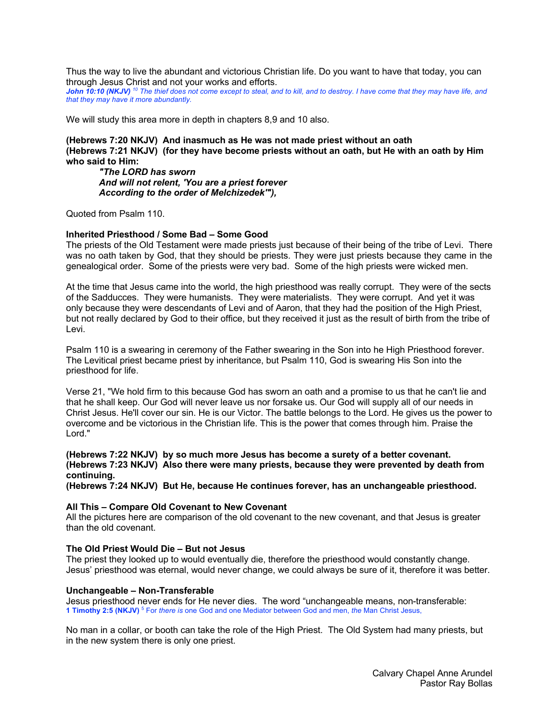Thus the way to live the abundant and victorious Christian life. Do you want to have that today, you can through Jesus Christ and not your works and efforts.

*John 10:10 (NKJV) <sup>10</sup> The thief does not come except to steal, and to kill, and to destroy. I have come that they may have life, and that they may have it more abundantly.* 

We will study this area more in depth in chapters 8,9 and 10 also.

# **(Hebrews 7:20 NKJV) And inasmuch as He was not made priest without an oath (Hebrews 7:21 NKJV) (for they have become priests without an oath, but He with an oath by Him who said to Him:**

*"The LORD has sworn And will not relent, 'You are a priest forever According to the order of Melchizedek'"),*

Quoted from Psalm 110.

### **Inherited Priesthood / Some Bad – Some Good**

The priests of the Old Testament were made priests just because of their being of the tribe of Levi. There was no oath taken by God, that they should be priests. They were just priests because they came in the genealogical order. Some of the priests were very bad. Some of the high priests were wicked men.

At the time that Jesus came into the world, the high priesthood was really corrupt. They were of the sects of the Sadducces. They were humanists. They were materialists. They were corrupt. And yet it was only because they were descendants of Levi and of Aaron, that they had the position of the High Priest, but not really declared by God to their office, but they received it just as the result of birth from the tribe of Levi.

Psalm 110 is a swearing in ceremony of the Father swearing in the Son into he High Priesthood forever. The Levitical priest became priest by inheritance, but Psalm 110, God is swearing His Son into the priesthood for life.

Verse 21, "We hold firm to this because God has sworn an oath and a promise to us that he can't lie and that he shall keep. Our God will never leave us nor forsake us. Our God will supply all of our needs in Christ Jesus. He'll cover our sin. He is our Victor. The battle belongs to the Lord. He gives us the power to overcome and be victorious in the Christian life. This is the power that comes through him. Praise the Lord."

# **(Hebrews 7:22 NKJV) by so much more Jesus has become a surety of a better covenant. (Hebrews 7:23 NKJV) Also there were many priests, because they were prevented by death from continuing.**

**(Hebrews 7:24 NKJV) But He, because He continues forever, has an unchangeable priesthood.**

#### **All This – Compare Old Covenant to New Covenant**

All the pictures here are comparison of the old covenant to the new covenant, and that Jesus is greater than the old covenant.

# **The Old Priest Would Die – But not Jesus**

The priest they looked up to would eventually die, therefore the priesthood would constantly change. Jesus' priesthood was eternal, would never change, we could always be sure of it, therefore it was better.

#### **Unchangeable – Non-Transferable**

Jesus priesthood never ends for He never dies. The word "unchangeable means, non-transferable: **1 Timothy 2:5 (NKJV)** <sup>5</sup> For *there is* one God and one Mediator between God and men, *the* Man Christ Jesus,

No man in a collar, or booth can take the role of the High Priest. The Old System had many priests, but in the new system there is only one priest.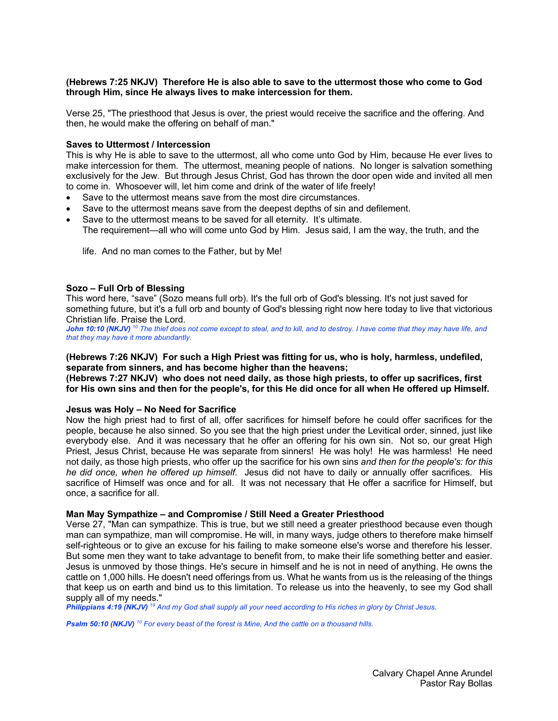# **(Hebrews 7:25 NKJV) Therefore He is also able to save to the uttermost those who come to God through Him, since He always lives to make intercession for them.**

Verse 25, "The priesthood that Jesus is over, the priest would receive the sacrifice and the offering. And then, he would make the offering on behalf of man."

### **Saves to Uttermost / Intercession**

This is why He is able to save to the uttermost, all who come unto God by Him, because He ever lives to make intercession for them. The uttermost, meaning people of nations. No longer is salvation something exclusively for the Jew. But through Jesus Christ, God has thrown the door open wide and invited all men to come in. Whosoever will, let him come and drink of the water of life freely!

- Save to the uttermost means save from the most dire circumstances.
- Save to the uttermost means save from the deepest depths of sin and defilement.
- Save to the uttermost means to be saved for all eternity. It's ultimate. The requirement—all who will come unto God by Him. Jesus said, I am the way, the truth, and the

life. And no man comes to the Father, but by Me!

#### **Sozo – Full Orb of Blessing**

This word here, "save" (Sozo means full orb). It's the full orb of God's blessing. It's not just saved for something future, but it's a full orb and bounty of God's blessing right now here today to live that victorious Christian life. Praise the Lord.

*John 10:10 (NKJV) <sup>10</sup> The thief does not come except to steal, and to kill, and to destroy. I have come that they may have life, and that they may have it more abundantly.* 

#### **(Hebrews 7:26 NKJV) For such a High Priest was fitting for us, who is holy, harmless, undefiled, separate from sinners, and has become higher than the heavens;**

**(Hebrews 7:27 NKJV) who does not need daily, as those high priests, to offer up sacrifices, first for His own sins and then for the people's, for this He did once for all when He offered up Himself.**

### **Jesus was Holy – No Need for Sacrifice**

Now the high priest had to first of all, offer sacrifices for himself before he could offer sacrifices for the people, because he also sinned. So you see that the high priest under the Levitical order, sinned, just like everybody else. And it was necessary that he offer an offering for his own sin. Not so, our great High Priest, Jesus Christ, because He was separate from sinners! He was holy! He was harmless! He need not daily, as those high priests, who offer up the sacrifice for his own sins *and then for the people's: for this he did once, when he offered up himself.* Jesus did not have to daily or annually offer sacrifices. His sacrifice of Himself was once and for all. It was not necessary that He offer a sacrifice for Himself, but once, a sacrifice for all.

#### **Man May Sympathize – and Compromise / Still Need a Greater Priesthood**

Verse 27, "Man can sympathize. This is true, but we still need a greater priesthood because even though man can sympathize, man will compromise. He will, in many ways, judge others to therefore make himself self-righteous or to give an excuse for his failing to make someone else's worse and therefore his lesser. But some men they want to take advantage to benefit from, to make their life something better and easier. Jesus is unmoved by those things. He's secure in himself and he is not in need of anything. He owns the cattle on 1,000 hills. He doesn't need offerings from us. What he wants from us is the releasing of the things that keep us on earth and bind us to this limitation. To release us into the heavenly, to see my God shall supply all of my needs."

*Philippians 4:19 (NKJV) <sup>19</sup> And my God shall supply all your need according to His riches in glory by Christ Jesus.* 

*Psalm 50:10 (NKJV) <sup>10</sup> For every beast of the forest is Mine, And the cattle on a thousand hills.*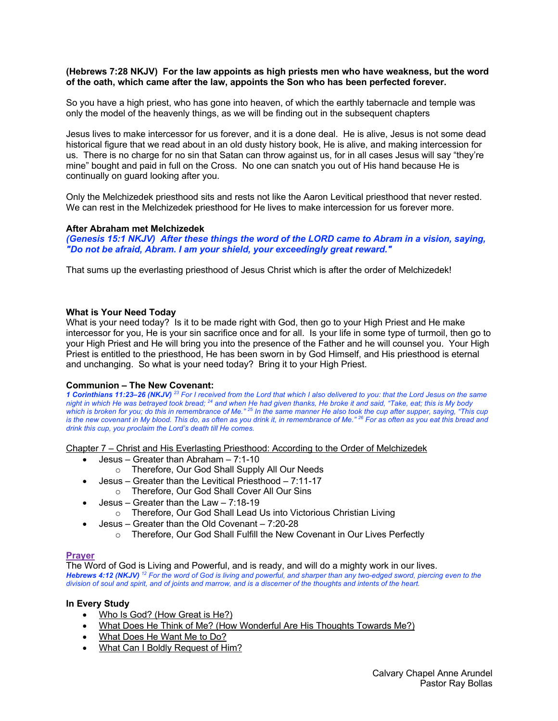# **(Hebrews 7:28 NKJV) For the law appoints as high priests men who have weakness, but the word of the oath, which came after the law, appoints the Son who has been perfected forever.**

So you have a high priest, who has gone into heaven, of which the earthly tabernacle and temple was only the model of the heavenly things, as we will be finding out in the subsequent chapters

Jesus lives to make intercessor for us forever, and it is a done deal. He is alive, Jesus is not some dead historical figure that we read about in an old dusty history book, He is alive, and making intercession for us. There is no charge for no sin that Satan can throw against us, for in all cases Jesus will say "they're mine" bought and paid in full on the Cross. No one can snatch you out of His hand because He is continually on guard looking after you.

Only the Melchizedek priesthood sits and rests not like the Aaron Levitical priesthood that never rested. We can rest in the Melchizedek priesthood for He lives to make intercession for us forever more.

### **After Abraham met Melchizedek**

*(Genesis 15:1 NKJV) After these things the word of the LORD came to Abram in a vision, saying, "Do not be afraid, Abram. I am your shield, your exceedingly great reward."*

That sums up the everlasting priesthood of Jesus Christ which is after the order of Melchizedek!

### **What is Your Need Today**

What is your need today? Is it to be made right with God, then go to your High Priest and He make intercessor for you, He is your sin sacrifice once and for all. Is your life in some type of turmoil, then go to your High Priest and He will bring you into the presence of the Father and he will counsel you. Your High Priest is entitled to the priesthood, He has been sworn in by God Himself, and His priesthood is eternal and unchanging. So what is your need today? Bring it to your High Priest.

# **Communion – The New Covenant:**

*1 Corinthians 11:23–26 (NKJV) <sup>23</sup> For I received from the Lord that which I also delivered to you: that the Lord Jesus on the same night in which He was betrayed took bread; 24 and when He had given thanks, He broke it and said, "Take, eat; this is My body which is broken for you; do this in remembrance of Me." 25 In the same manner He also took the cup after supper, saying, "This cup is the new covenant in My blood. This do, as often as you drink it, in remembrance of Me." 26 For as often as you eat this bread and drink this cup, you proclaim the Lord's death till He comes.* 

Chapter 7 – Christ and His Everlasting Priesthood: According to the Order of Melchizedek

- Jesus Greater than Abraham 7:1-10
	- o Therefore, Our God Shall Supply All Our Needs
- Jesus Greater than the Levitical Priesthood 7:11-17 o Therefore, Our God Shall Cover All Our Sins
- Jesus Greater than the Law 7:18-19
	- o Therefore, Our God Shall Lead Us into Victorious Christian Living
	- Jesus Greater than the Old Covenant 7:20-28
		- o Therefore, Our God Shall Fulfill the New Covenant in Our Lives Perfectly

# **Prayer**

The Word of God is Living and Powerful, and is ready, and will do a mighty work in our lives. *Hebrews 4:12 (NKJV) <sup>12</sup> For the word of God is living and powerful, and sharper than any two-edged sword, piercing even to the division of soul and spirit, and of joints and marrow, and is a discerner of the thoughts and intents of the heart.* 

# **In Every Study**

- Who Is God? (How Great is He?)
- What Does He Think of Me? (How Wonderful Are His Thoughts Towards Me?)
- What Does He Want Me to Do?
- What Can I Boldly Request of Him?